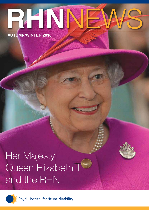# RHO **AUTUMN/WINTER 2016** NEWS

# Her Majesty Queen Elizabeth II<sup>1</sup> and the RHN



Royal Hospital for Neuro-disability

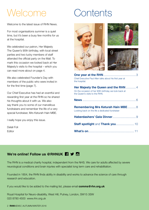# Welcome Contents

Welcome to the latest issue of RHN News.

For most organisations summer is a quiet time, but it's been a busy few months for us at the hospital.

We celebrated our patron, Her Majesty The Queen's 90th birthday, with local street parties and two lucky members of staff attended the official party on the Mall. To mark this occasion we looked back at Her Majesty's visits to the hospital – which you can read more about on page 4.

We also celebrated Founder's Day with members of the public who were invited in for the first time (page 7).

Our Chief Executive has had an eventful and rewarding first year at the RHN so he shared his thoughts about it with us. We also say thank you to some of our marvellous fundraisers and remember the life of a very special fundraiser, Mrs Keturah Hain MBE.

I really hope you enjoy this issue.

Delali Foli Editor



| Chief Executive Paul Allen talks about his first year at<br>the hospital.                                                      |  |
|--------------------------------------------------------------------------------------------------------------------------------|--|
| Her Majesty the Queen and the RHN  4<br>On the occasion of her 90th birthday we look back at<br>the Queen's visits to the RHN. |  |
|                                                                                                                                |  |
| Remembering Mrs Keturah Hain MBE8<br>Looking back on the life a dedicated fundraiser                                           |  |
|                                                                                                                                |  |
|                                                                                                                                |  |
|                                                                                                                                |  |

# **We're online! Follow us @RHNUK 4 → M**

The RHN is a medical charity hospital, independent from the NHS. We care for adults affected by severe neurological conditions and brain injuries with specialist long term care and rehabilitation.

Founded in 1854, the RHN finds ability in disability and works to advance the science of care through research and education.

If you would like to be added to the mailing list, please email **comms@rhn.org.uk**

Royal Hospital for Neuro-disability, West Hill, Putney, London, SW15 3SW 020 8780 4500 www.rhn.org.uk

2 **RHN**NEWS | AUTUMN/WINTER 2016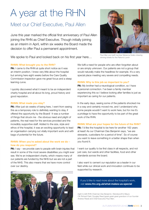# A year at the RHN

# Meet our Chief Executive, Paul Allen

June this year marked the official first anniversary of Paul Allen joining the RHN as Chief Executive. Though initially joining as an interim in April, within six weeks the Board made the decision to offer Paul a permanent appointment.

We spoke to Paul and looked back on his first year here...

#### **RHNN: What brought you to the RHN?**

**PA:** I came to the RHN at quite short notice as it was an interim position. I knew very little about the hospital but arriving here eight weeks before the Care Quality Commission inspection gave me great focus and a steep learning curve.

I quickly discovered what it meant to be an independent charity hospital and all about its long, proud history and good reputation.

#### **RHNN: What made you stay?**

**PA:** After just six weeks of being here, I went from seeing this as a temporary role to definitely wanting to stay, if offered the opportunity by the Board! It was a number of things that struck me - the obvious need and plight of patients, the real need for the services provided and the incredibly supportive staff. Added to the size, style and ethos of the hospital, it was an exciting opportunity to lead an organisation carrying out vitally important work and with bags of potential for the future.

#### **RHNN: When you're asked about the work we do – how do you respond?**

PA: I say - we provide care to people with brain injuries that result in some of the most severe disabilities you might ever see. We're an independent charity, which means many of our patients are funded by the NHS but we are not a part of the NHS. This also means that we have more control over our destiny.





Paul Allen and staff member Marianna Szabo drawing winning tickets for the Patron's Lunch

We fulfil a need for people who are often forgotten about or are simply unknown. Our patients are not a group that would naturally make the headlines for example. It's a very special place meeting very severe and compelling needs.

#### **RHNN: Why is this job so important to you?**

PA: My brother had a neurological condition, so I have a personal connection. I've been a family member experiencing this so I believe looking after families is just as important as caring for our patients.

In the early days, seeing some of the patients shocked me in a way and certainly moved me, and I understand why some people wouldn't want to work here, but for me it's a privilege to have the opportunity to be part of the great work of the RHN.

#### **RHNN: What are your hopes for the future of the RHN?**

**PA:** I'd like the hospital to be here for another 162 years at least! As our Chairman Des Benjamin says, "we are stewards, custodians for a period of time". So of course you want to leave something in a better shape than when you found it.

I want our quality to be first class in all respects, and not just care, but wards and other facilities, food and other standards across the board.

I also want to cement our reputation as a leader in our field while our clinical work and innovation continues to be supported by research.

If you'd like to read more about the hospital's work, visit **www.rhn.org.uk/what-makes-us-special** 

(right to left) RHN Chairman Des Benjamin, Wandsworth's Mayor, Cllr Richard Field, Douglas Reed (great-great-great grandson of our founder Andrew Reed) and Chief Executive Paul Allen.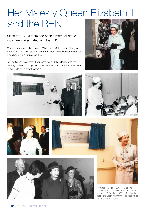# Her Majesty Queen Elizabeth II and the RHN

Since the 1800s there had been a member of the royal family associated with the RHN.

Our first patron was The Prince of Wales in 1880, the first in a long line of monarchs who would support our work. Her Majesty Queen Elizabeth II has been our patron since 1952.

As The Queen celebrated her momentous 90th birthday with the country this year, we opened up our archives and took a look at some of her visits to us over the years.











From top: 19 May 1976 – HM opens

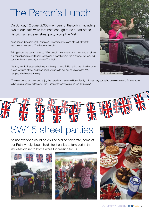# The Patron's Lunch

On Sunday 12 June, 2,000 members of the public (including two of our staff) were fortunate enough to be a part of the historic, largest ever street party along The Mall.

Anna Jones, Occupational Therapy Art Technician was one of the lucky staff members who went to The Patron's Lunch.

Talking about the day Anna said, "After queuing in the rain for an hour and a half with our contraband umbrella and negotiating a poncho from the organiser, we worked our way through security and onto The Mall.

"As if by magic, it stopped raining and being in good British spirit, we joined another queue for cups of tea, and then another queue to get our much awaited M&S hamper, which was amazing!



"Then we got to sit down and enjoy the parade and see the Royal Family… It was very surreal to be so close and for everyone to be singing happy birthday to The Queen after only seeing her on TV before!"

# SW15 street parties

As not everyone could be on The Mall to celebrate, some of our Putney neighbours held street parties to take part in the festivities closer to home while fundraising for us.





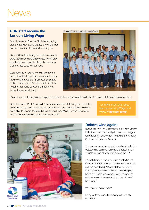### **RHN staff receive the London Living Wage**

From 1 January 2016, the RHN started paying staff the London Living Wage, one of the first London hospitals to commit to doing so.

Over 100 staff, including domestic assistants, ward technicians and basic grade health care assistants have benefited from this and saw their pay rise to £9.40 per hour.

Ward technician Olu Oke said, "We are so happy that the hospital appreciates the very hard work that we do." Domestic assistant Richard Lane said, "We appreciate what the hospital has done because it means they know that we work hard."



It's no secret that London is an expensive place to live, so being able to do this for valued staff has been a real boost.

Chief Executive Paul Allen said, "These members of staff carry out vital roles, delivering a high quality service to our patients. I am delighted that we have been able to reward them with the London Living Wage, which I believe is what a fair, responsible, caring employer pays."

For further information about the London Living Wage, visit **www.livingwage.gov.uk**



### **Deirdre wins again!**

Earlier this year, long time resident and champion RHN fundraiser Deirdre Tydd, won the Judges' Outstanding Achievement Award at the Charity Staff and Volunteers Awards.

The annual awards recognise and celebrate the outstanding achievements and dedication of volunteers and charity staff across the UK.

Though Deirdre was initially nominated in the Community Volunteer of the Year category, the judging panel said, "We think that in view of Deirdre's outstanding achievements despite being a full time wheelchair user, the judges' category would make for nice recognition of her work."

We couldn't agree more!

It's great to see another trophy in Deirdre's collection.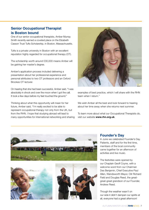### **Senior Occupational Therapist is Boston bound**

One of our senior occupational therapists, Amber Murray Smith recently earned a coveted place on the Elizabeth Casson Trust Tufts Scholarship, in Boston, Massachusetts.

Tufts is a private university in Boston with an excellent reputation highly regarded for occupational therapy (OT).

The scholarship worth around £30,000 means Amber will be gaining her master's degree.

Amber's application process included delivering a presentation about her professional experience and personal attributes to two OT professors and an Oxford Brookes OT lecturer.

On hearing that she had been successful, Amber said, "I was absolutely in shock and over the moon when I got the call. It took a few days before my feet touched the ground."

Thinking about what this opportunity will mean for her future, Amber said, "I'm really excited to be able to represent occupational therapy not only from the UK, but from the RHN. I hope that studying abroad will lead to many opportunities for international networking and sharing



examples of best practice, which I will share with the RHN team when I return."

We wish Amber all the best and look forward to hearing about her time away when she returns next summer.

To learn more about what our Occupational Therapists do, visit our website **www.rhn.org.uk**.







### **Founder's Day**

In June we celebrated Founder's Day. Patients, staff and for the first time, members of the local community came together for an afternoon of activities and live music.

The festivities were opened by our Chaplain Geoff Coyne, with a welcome word from our Chairman Des Benjamin, Chief Executive Paul Allen, Wandsworth Mayor, Cllr Richard Field and Douglas Reed, the greatgreat-great grandson of our Founder, Andrew Reed.

Though the weather wasn't on our side it didn't dampen our spirits at all, everyone had a great afternoon!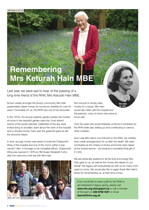# **Remembering Mrs Keturah Hain MBE**

Last year we were sad to hear of the passing of a long-time friend of the RHN, Mrs Keturah Hain MBE.

Known widely amongst the Surrey community, Mrs Hain passionately raised money for numerous charities for over 40 years. Fortunately for us, the RHN was one of her favourites.

In the 1970s, the annual celebrity garden parties she hosted at home in her beautiful garden were the 'must attend' events of the social calendar. Celebrities of the day were invited along to socialise, learn about the work of the hospital and to donate money. Each year the guest list grew as did the amounts raised.

In time, enough money was raised to build the Chatsworth Wing of the hospital and one of the rooms within it was named 'Hain' in homage to her incredible efforts. Chatsworth Wing was opened in 1976 by HM Queen Elizabeth II who after the ceremony took tea with Mrs Hain.



Mrs Hain with her four children

Mrs Hain in 2010

Not one just to simply raise money for a cause, Mrs Hain would also often visit the hospital and the patients, many of whom she came to know well. Mrs Hain

Over the years she would tirelessly continue to fundraise for the RHN while also setting up and contributing to various other charities.

in 1941

Such was Mrs Hain's commitment to the RHN, her children even made arrangements for us after her death. We were nominated as the charity of choice and funds were raised at the funeral service - we received a wonderful final gift of £1,250.

We are extremely grateful for all the time and energy Mrs Hain gave to us, as well as the money she raised on our behalf. Her legacy will undoubtedly be with us for many more years to come. We would also like to again thank Mrs Hain's family for remembering us, at their time of loss.

If you would like to leave a gift for the RHN or are interested in legacy giving, please visit **www.rhn.org.uk/support-us** or call a member of the team on **020 8780 4557** or email **ibarrett@rhn.org.uk**.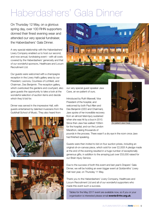# Haberdashers' Gala Dinner

On Thursday 12 May, on a glorious spring day, over 100 RHN supporters donned their finest evening wear and attended our very special fundraiser, the Haberdashers' Gala Dinner.

A very special relationship with the Haberdashers' Livery Company enabled us to host our second, and now annual, fundraising event – with all costs covered by the Haberdashers' generosity and that of our wonderful sponsors, Healthcare and Locum Recruitment Ltd.

Our guests were welcomed with a champagne reception in the Livery Hall's gallery area by our President, Leonora, Countess of Lichfield, and Chairman, Des Benjamin. The reception gallery, which overlooked the gardens and courtyard, also gave guests the opportunity to take a look at the wonderful selection of auction items and decide which they'd bid for.

Dinner was served in the impressive Hall, with guests entertained by talented musicians from the Guildhall School of Music. They also heard from







our very special guest speaker Jaxx Cave, an ex-patient of ours.

Introduced by Ruth Maxwell, Vice President of the hospital, and welcomed by both Paul Allen and Des Benjamin (CEO and Chairman), Jaxx spoke of her incredible recovery from an almost fatal injury sustained when she was hit by a bus in 2010. Since then Jaxx has walked 100km for the hospital, and run the London Marathon, raising thousands of



Ex-patient Jaxx Cave

pounds in the process. There wasn't a dry eye in the room once Jaxx had finished speaking.

Guests were then invited to bid on four auction prizes, including an original oil-on-canvas piece, which sold for over £2,000! A pledge made at the end of the evening resulted in a huge number of exceptionally generous gifts, in addition to the amazing just over £53,000 raised for our Brain Injury Service.

Due to the success of both this event and last year's Drapers' Gala Dinner, we will be holding an even bigger event at Goldsmiths' Livery Hall next year, on Thursday 11 May.

Thank you to the Haberdashers' Livery Company, Healthcare and Locum Recruitment Ltd and all of our wonderful supporters who made this event such a success.

Tables for the May 2017 event are available now, so if you or your organisation is interested please email **events@rhn.org.uk**.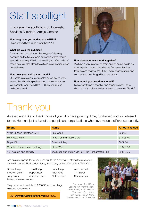# Staff spotlight

This issue, the spotlight is on Domestic Services Assistant, Amaju Ometrie

**How long have you worked at the RHN?** I have worked here since November 2013.

#### **What are your main duties?**

Cleaning the hospital, though the type of cleaning depends on the type of ward as certain wards require specialist cleaning. We do the washing up after patients' mealtimes. We also clean the offices, main corridors and general areas.

#### **How does your shift pattern work?**

Our shifts rotate every four months so we get to work across the whole hospital and get to know everyone. We generally work from 8am - 4.30pm making up 40 hours a week.



#### **How does your team work together?**

We have a very interwoven team and on some wards we work in pairs. I would describe the Domestic Services team as one finger of the RHN – every finger matters and you can't do one thing without the others.

#### **How would you describe yourself?**

I am a very friendly, sociable and happy person. Life is short, so why make enemies when you can make friends?

# Thank you

As ever, we'd like to thank those of you who have given up time, fundraised and volunteered for us. Here are just a few of the people and organisations who have made a difference recently.

| Event                           | <b>Name</b>                                          | <b>Amount raised</b> |
|---------------------------------|------------------------------------------------------|----------------------|
| Virgin London Marathon 2016     | Paul Cook                                            | £3,000               |
| <b>RHN Row Hard</b>             | <b>Astro Communications Ltd</b>                      | £1,806.40            |
| Bupa 10k                        | Zunaira Sohag                                        | £677.50              |
| Yorkshire Three Peaks Challenge | Steve Ward                                           | £1,838.36            |
| 108 holes in one golf day       | Joe Biggs and Tristan McIllroy (The Roehampton Club) | £2,888.75            |

And an extra special thank you goes out to the amazing 13-strong team who took on the Prudential RideLondon-Surrey 100 in July on behalf of patient, Trudi Kemp.

| Simon Kemp                    | Theo Kemp     | Sam Kemp      | Alice Bennett    |  |
|-------------------------------|---------------|---------------|------------------|--|
| Stephen Green                 | Rupert Rees   | Andy Riley    | <b>Tim Baker</b> |  |
| Judy Baker                    | Anne Davidson | Neil Davidson | Cordelia Carr    |  |
| <b>Richard Hawkins Hooker</b> |               |               |                  |  |

They raised an incredible £19,210.98 (and counting). What an achievement!

Visit **www.rhn.org.uk/thank-you** for more.

Front row - Trudi Kemp Second row (from the left) - Judy Baker; Anne Davidson Third row - Sam Kemp, Theo Kemp, Simon Kemp, Neil Davidson and Tim Baker

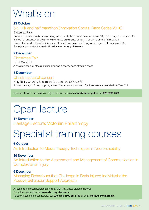# What's on

### **23 October**

## 5k, 10k and half marathon (Innovation Sports, Race Series 2016)

### Battersea Park

Innovation Sports have been organising races on Clapham Common now for over 10 years. This year you can enter the 5k, 10k and, new for 2016 is the half marathon distance of 13.1 miles with a children's 2k option! Race entry includes: live chip timing, medal, snack bar, water, fruit, baggage storage, toilets, music and PA. For registration and entry fee details visit **www.rhn.org.uk/events**.

### **2 December**

### Christmas Fair

RHN, West Hill A one stop shop for stocking fillers, gifts and a healthy dose of festive cheer.

### **8 December**

### Christmas carol concert

Holy Trinity Church, Beaumont Rd, London, SW19 6SP Join us once again for our popular, annual Christmas carol concert. For ticket information call 020 8780 4565.

If you would like more details on any of our events, email **events@rhn.org.uk** or call **020 8780 4565**.

# Open lecture

### **17 November**

Heritage Lecture: Victorian Philanthropy

# Specialist training courses

### **6 October**

An Introduction to Music Therapy Techniques in Neuro-disability

### **10 November**

An Introduction to the Assessment and Management of Communication in Complex Brain Injury

### **6 December**

Managing Behaviours that Challenge in Brain Injured Individuals: the Positive Behaviour Support Approach

All courses and open lectures are held at the RHN unless stated otherwise. For further information visit **www.rhn.org.uk/events**. To book a course or open lecture, call **020 8780 4500 ext 5140** or email **institute@rhn.org.uk**.